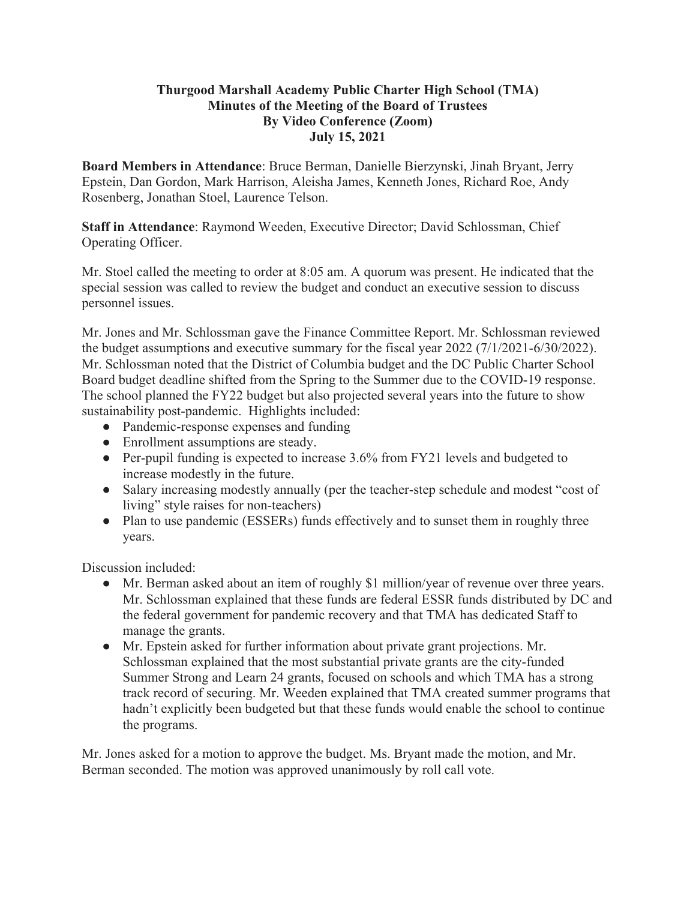## **Thurgood Marshall Academy Public Charter High School (TMA) Minutes of the Meeting of the Board of Trustees By Video Conference (Zoom) July 15, 2021**

**Board Members in Attendance**: Bruce Berman, Danielle Bierzynski, Jinah Bryant, Jerry Epstein, Dan Gordon, Mark Harrison, Aleisha James, Kenneth Jones, Richard Roe, Andy Rosenberg, Jonathan Stoel, Laurence Telson.

**Staff in Attendance**: Raymond Weeden, Executive Director; David Schlossman, Chief Operating Officer.

Mr. Stoel called the meeting to order at 8:05 am. A quorum was present. He indicated that the special session was called to review the budget and conduct an executive session to discuss personnel issues.

Mr. Jones and Mr. Schlossman gave the Finance Committee Report. Mr. Schlossman reviewed the budget assumptions and executive summary for the fiscal year 2022 (7/1/2021-6/30/2022). Mr. Schlossman noted that the District of Columbia budget and the DC Public Charter School Board budget deadline shifted from the Spring to the Summer due to the COVID-19 response. The school planned the FY22 budget but also projected several years into the future to show sustainability post-pandemic. Highlights included:

- Pandemic-response expenses and funding
- Enrollment assumptions are steady.
- Per-pupil funding is expected to increase 3.6% from FY21 levels and budgeted to increase modestly in the future.
- Salary increasing modestly annually (per the teacher-step schedule and modest "cost of living" style raises for non-teachers)
- Plan to use pandemic (ESSERs) funds effectively and to sunset them in roughly three years.

Discussion included:

- Mr. Berman asked about an item of roughly \$1 million/year of revenue over three years. Mr. Schlossman explained that these funds are federal ESSR funds distributed by DC and the federal government for pandemic recovery and that TMA has dedicated Staff to manage the grants.
- Mr. Epstein asked for further information about private grant projections. Mr. Schlossman explained that the most substantial private grants are the city-funded Summer Strong and Learn 24 grants, focused on schools and which TMA has a strong track record of securing. Mr. Weeden explained that TMA created summer programs that hadn't explicitly been budgeted but that these funds would enable the school to continue the programs.

Mr. Jones asked for a motion to approve the budget. Ms. Bryant made the motion, and Mr. Berman seconded. The motion was approved unanimously by roll call vote.